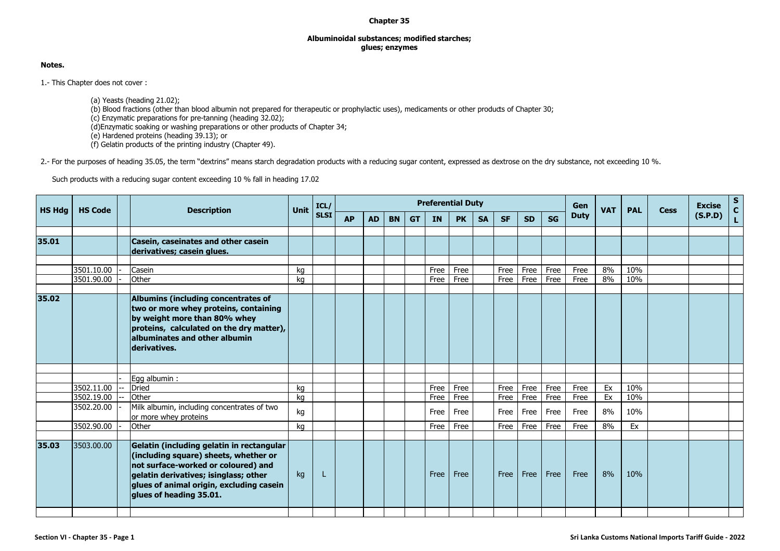## **Chapter 35**

## **Albuminoidal substances; modified starches; glues; enzymes**

## **Notes.**

1.- This Chapter does not cover :

(a) Yeasts (heading 21.02); (b) Blood fractions (other than blood albumin not prepared for therapeutic or prophylactic uses), medicaments or other products of Chapter 30; (c) Enzymatic preparations for pre-tanning (heading 32.02); (d)Enzymatic soaking or washing preparations or other products of Chapter 34; (e) Hardened proteins (heading 39.13); or (f) Gelatin products of the printing industry (Chapter 49).

2.- For the purposes of heading 35.05, the term "dextrins" means starch degradation products with a reducing sugar content, expressed as dextrose on the dry substance, not exceeding 10 %.

Such products with a reducing sugar content exceeding 10 % fall in heading 17.02

|               | <b>HS Code</b> |  | <b>Description</b>                                                                                                                                                                                                                        | Unit | ICL/        | <b>Preferential Duty</b> |           |           |           |           |           |           |           |           |           | Gen         | <b>VAT</b> | <b>PAL</b> | <b>Cess</b> | <b>Excise</b> | $\frac{\mathsf{s}}{\mathsf{c}}$ |
|---------------|----------------|--|-------------------------------------------------------------------------------------------------------------------------------------------------------------------------------------------------------------------------------------------|------|-------------|--------------------------|-----------|-----------|-----------|-----------|-----------|-----------|-----------|-----------|-----------|-------------|------------|------------|-------------|---------------|---------------------------------|
| <b>HS Hdg</b> |                |  |                                                                                                                                                                                                                                           |      | <b>SLSI</b> | <b>AP</b>                | <b>AD</b> | <b>BN</b> | <b>GT</b> | <b>IN</b> | <b>PK</b> | <b>SA</b> | <b>SF</b> | <b>SD</b> | <b>SG</b> | <b>Duty</b> |            |            |             | (S.P.D)       |                                 |
|               |                |  |                                                                                                                                                                                                                                           |      |             |                          |           |           |           |           |           |           |           |           |           |             |            |            |             |               |                                 |
| 35.01         |                |  | Casein, caseinates and other casein<br>derivatives; casein glues.                                                                                                                                                                         |      |             |                          |           |           |           |           |           |           |           |           |           |             |            |            |             |               |                                 |
|               |                |  |                                                                                                                                                                                                                                           |      |             |                          |           |           |           |           |           |           |           |           |           |             |            |            |             |               |                                 |
|               | 3501.10.00     |  | Casein                                                                                                                                                                                                                                    | kq   |             |                          |           |           |           | Free      | Free      |           | Free      | Free      | Free      | Free        | 8%         | 10%        |             |               |                                 |
|               | 3501.90.00     |  | Other                                                                                                                                                                                                                                     | kg   |             |                          |           |           |           | Free      | Free      |           | Free      | Free      | Free      | Free        | 8%         | 10%        |             |               |                                 |
| 35.02         |                |  | Albumins (including concentrates of<br>two or more whey proteins, containing<br>by weight more than 80% whey<br>proteins, calculated on the dry matter),<br>albuminates and other albumin<br>derivatives.                                 |      |             |                          |           |           |           |           |           |           |           |           |           |             |            |            |             |               |                                 |
|               |                |  |                                                                                                                                                                                                                                           |      |             |                          |           |           |           |           |           |           |           |           |           |             |            |            |             |               |                                 |
|               |                |  | Egg albumin :                                                                                                                                                                                                                             |      |             |                          |           |           |           |           |           |           |           |           |           |             |            |            |             |               |                                 |
|               | 3502.11.00     |  | Dried                                                                                                                                                                                                                                     | kg   |             |                          |           |           |           | Free      | Free      |           | Free      | Free      | Free      | Free        | Ex         | 10%        |             |               |                                 |
|               | 3502.19.00     |  | Other                                                                                                                                                                                                                                     | kg   |             |                          |           |           |           | Free      | Free      |           | Free      | Free      | Free      | Free        | Ex         | 10%        |             |               |                                 |
|               | 3502.20.00     |  | Milk albumin, including concentrates of two<br>or more whey proteins                                                                                                                                                                      | kg   |             |                          |           |           |           | Free      | Free      |           | Free      | Free      | Free      | Free        | 8%         | 10%        |             |               |                                 |
|               | 3502.90.00     |  | Other                                                                                                                                                                                                                                     | kg   |             |                          |           |           |           | Free      | Free      |           | Free      | Free      | Free      | Free        | 8%         | Ex         |             |               |                                 |
| 35.03         | 3503.00.00     |  | Gelatin (including gelatin in rectangular<br>(including square) sheets, whether or<br>not surface-worked or coloured) and<br>gelatin derivatives; isinglass; other<br>glues of animal origin, excluding casein<br>glues of heading 35.01. | kg   | L           |                          |           |           |           | Free      | Free      |           | Free      | Free      | Free      | Free        | 8%         | 10%        |             |               |                                 |
|               |                |  |                                                                                                                                                                                                                                           |      |             |                          |           |           |           |           |           |           |           |           |           |             |            |            |             |               |                                 |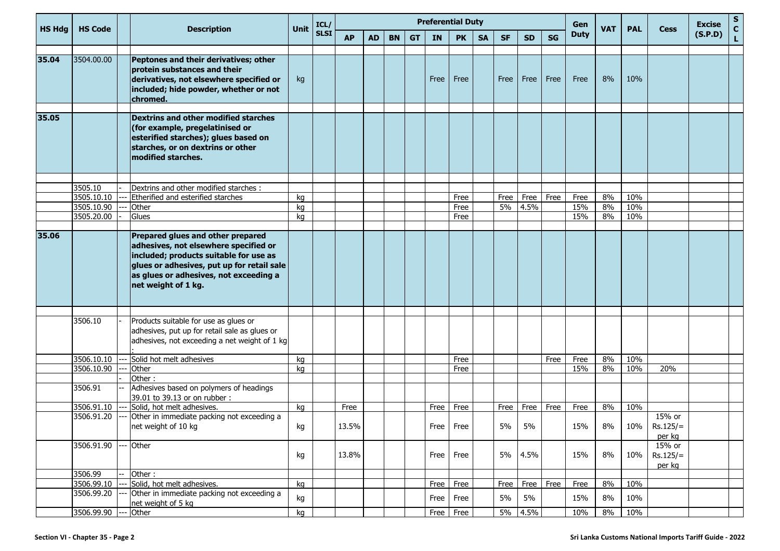| <b>HS Hdg</b> | <b>HS Code</b> | <b>Description</b>                                                                                                                                                                                                                  | Unit | ICL/        |           | <b>Preferential Duty</b><br>Gen |           |           |           |           |           |           |           | <b>VAT</b> | <b>PAL</b>  | <b>Cess</b> | <b>Excise</b> | S<br>$\mathbf{C}$              |         |   |
|---------------|----------------|-------------------------------------------------------------------------------------------------------------------------------------------------------------------------------------------------------------------------------------|------|-------------|-----------|---------------------------------|-----------|-----------|-----------|-----------|-----------|-----------|-----------|------------|-------------|-------------|---------------|--------------------------------|---------|---|
|               |                |                                                                                                                                                                                                                                     |      | <b>SLSI</b> | <b>AP</b> | <b>AD</b>                       | <b>BN</b> | <b>GT</b> | <b>IN</b> | <b>PK</b> | <b>SA</b> | <b>SF</b> | <b>SD</b> | <b>SG</b>  | <b>Duty</b> |             |               |                                | (S.P.D) | L |
| 35.04         | 3504.00.00     | Peptones and their derivatives; other<br>protein substances and their<br>derivatives, not elsewhere specified or<br>included; hide powder, whether or not<br>chromed.                                                               | kg   |             |           |                                 |           |           | Free      | Free      |           | Free      | Free      | Free       | Free        | 8%          | 10%           |                                |         |   |
| 35.05         |                | Dextrins and other modified starches<br>(for example, pregelatinised or<br>esterified starches); glues based on<br>starches, or on dextrins or other<br>modified starches.                                                          |      |             |           |                                 |           |           |           |           |           |           |           |            |             |             |               |                                |         |   |
|               | 3505.10        | Dextrins and other modified starches :                                                                                                                                                                                              |      |             |           |                                 |           |           |           |           |           |           |           |            |             |             |               |                                |         |   |
|               | 3505.10.10     | Etherified and esterified starches                                                                                                                                                                                                  | kg   |             |           |                                 |           |           |           | Free      |           | Free      | Free      | Free       | Free        | 8%          | 10%           |                                |         |   |
|               | 3505.10.90     | Other                                                                                                                                                                                                                               | kg   |             |           |                                 |           |           |           | Free      |           | 5%        | 4.5%      |            | 15%         | 8%          | 10%           |                                |         |   |
|               | 3505.20.00     | Glues                                                                                                                                                                                                                               | kg   |             |           |                                 |           |           |           | Free      |           |           |           |            | 15%         | 8%          | 10%           |                                |         |   |
| 35.06         |                | Prepared glues and other prepared<br>adhesives, not elsewhere specified or<br>included; products suitable for use as<br>glues or adhesives, put up for retail sale<br>as glues or adhesives, not exceeding a<br>net weight of 1 kg. |      |             |           |                                 |           |           |           |           |           |           |           |            |             |             |               |                                |         |   |
|               | 3506.10        | Products suitable for use as glues or<br>adhesives, put up for retail sale as glues or<br>adhesives, not exceeding a net weight of 1 kg                                                                                             |      |             |           |                                 |           |           |           |           |           |           |           |            |             |             |               |                                |         |   |
|               | 3506.10.10     | Solid hot melt adhesives                                                                                                                                                                                                            | kg   |             |           |                                 |           |           |           | Free      |           |           |           | Free       | Free        | 8%          | 10%           |                                |         |   |
|               | 3506.10.90     | Other                                                                                                                                                                                                                               | kg   |             |           |                                 |           |           |           | Free      |           |           |           |            | 15%         | 8%          | 10%           | 20%                            |         |   |
|               |                | Other:                                                                                                                                                                                                                              |      |             |           |                                 |           |           |           |           |           |           |           |            |             |             |               |                                |         |   |
|               | 3506.91        | Adhesives based on polymers of headings<br>39.01 to 39.13 or on rubber:                                                                                                                                                             |      |             |           |                                 |           |           |           |           |           |           |           |            |             |             |               |                                |         |   |
|               | 3506.91.10     | Solid, hot melt adhesives.                                                                                                                                                                                                          | kg   |             | Free      |                                 |           |           | Free      | Free      |           | Free      | Free      | Free       | Free        | 8%          | 10%           |                                |         |   |
|               | 3506.91.20     | Other in immediate packing not exceeding a<br>net weight of 10 kg                                                                                                                                                                   | kg   |             | 13.5%     |                                 |           |           | Free      | Free      |           | 5%        | 5%        |            | 15%         | 8%          | 10%           | 15% or<br>$Rs.125/=$<br>per kg |         |   |
|               | 3506.91.90     | Other                                                                                                                                                                                                                               | kg   |             | 13.8%     |                                 |           |           | Free      | Free      |           | 5%        | 4.5%      |            | 15%         | 8%          | 10%           | 15% or<br>$Rs.125/=$<br>per kg |         |   |
|               | 3506.99        | Other:                                                                                                                                                                                                                              |      |             |           |                                 |           |           |           |           |           |           |           |            |             |             |               |                                |         |   |
|               | 3506.99.10     | Solid, hot melt adhesives.                                                                                                                                                                                                          | kg   |             |           |                                 |           |           | Free      | Free      |           | Free      | Free      | Free       | Free        | 8%          | 10%           |                                |         |   |
|               | 3506.99.20     | Other in immediate packing not exceeding a<br>net weight of 5 kg                                                                                                                                                                    | kg   |             |           |                                 |           |           | Free      | Free      |           | 5%        | 5%        |            | 15%         | 8%          | 10%           |                                |         |   |
|               | 3506.99.90     | Other                                                                                                                                                                                                                               | kg   |             |           |                                 |           |           | Free      | Free      |           | $5\%$     | 4.5%      |            | 10%         | 8%          | 10%           |                                |         |   |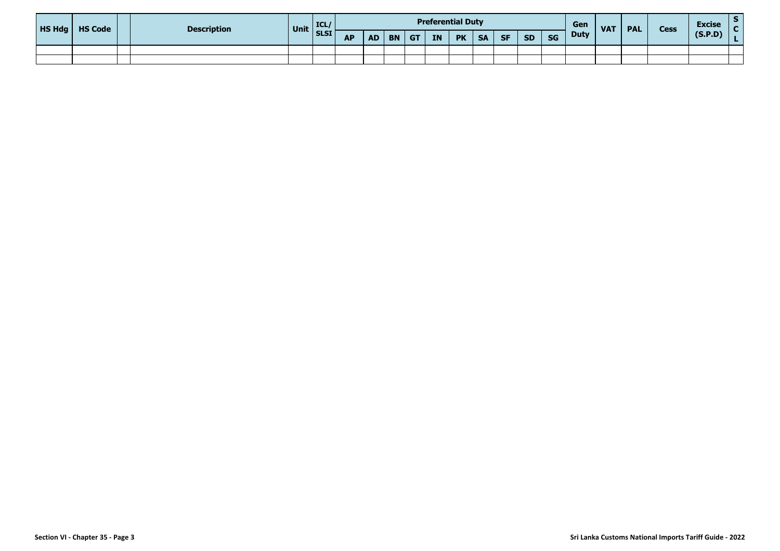| HS Hdg | <b>HS Code</b> | <b>Description</b> | Unit SLSI | ICL/ |           | <b>Preferential Duty</b><br>Gen<br><b>VAT</b><br><b>PAL</b> |           |           |    |           |           |           |           |           |             | <b>Cess</b> | <b>Excise</b> |         |  |
|--------|----------------|--------------------|-----------|------|-----------|-------------------------------------------------------------|-----------|-----------|----|-----------|-----------|-----------|-----------|-----------|-------------|-------------|---------------|---------|--|
|        |                |                    |           |      | <b>AP</b> | <b>AD</b>                                                   | <b>BN</b> | <b>GT</b> | IN | <b>PK</b> | <b>SA</b> | <b>SF</b> | <b>SD</b> | <b>SG</b> | <b>Duty</b> |             |               | (S.P.D) |  |
|        |                |                    |           |      |           |                                                             |           |           |    |           |           |           |           |           |             |             |               |         |  |
|        |                |                    |           |      |           |                                                             |           |           |    |           |           |           |           |           |             |             |               |         |  |